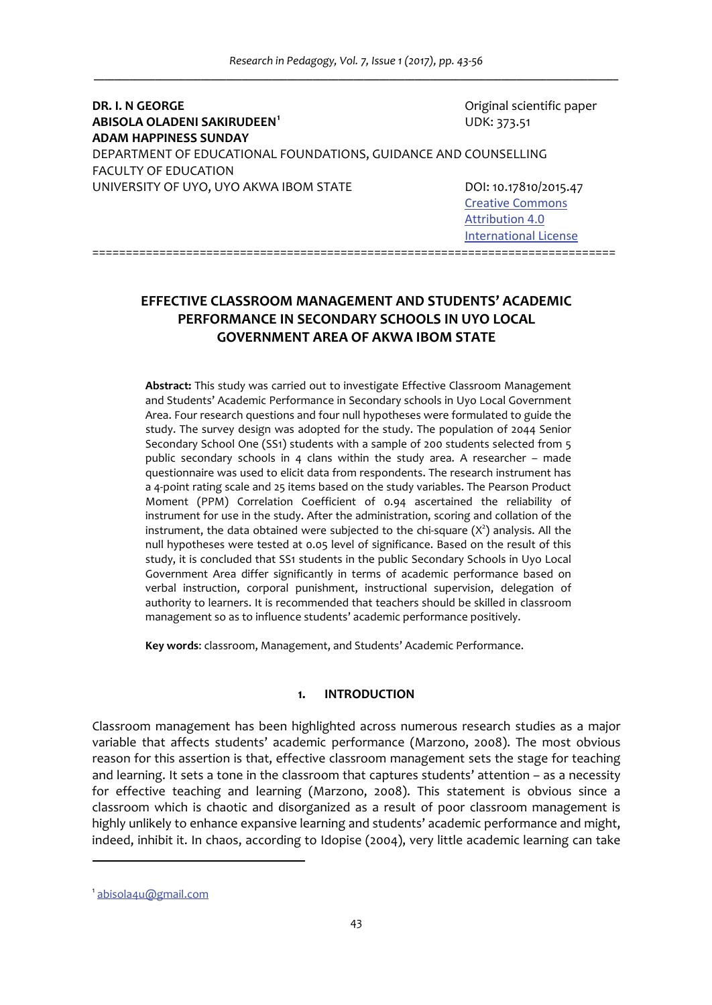**DR. I. N GEORGE**  Original scientific paper **ABISOLA OLADENI SAKIRUDEEN<sup>1</sup>**  UDK: 373.51 **ADAM HAPPINESS SUNDAY**  DEPARTMENT OF EDUCATIONAL FOUNDATIONS, GUIDANCE AND COUNSELLING FACULTY OF EDUCATION UNIVERSITY OF UYO, UYO AKWA IBOM STATE DOI: 10.17810/2015.47

 Creative Commons  Attribution 4.0

 International License

# **EFFECTIVE CLASSROOM MANAGEMENT AND STUDENTS' ACADEMIC PERFORMANCE IN SECONDARY SCHOOLS IN UYO LOCAL GOVERNMENT AREA OF AKWA IBOM STATE**

==============================================================================

**Abstract:** This study was carried out to investigate Effective Classroom Management and Students' Academic Performance in Secondary schools in Uyo Local Government Area. Four research questions and four null hypotheses were formulated to guide the study. The survey design was adopted for the study. The population of 2044 Senior Secondary School One (SS1) students with a sample of 200 students selected from 5 public secondary schools in 4 clans within the study area. A researcher – made questionnaire was used to elicit data from respondents. The research instrument has a 4‐point rating scale and 25 items based on the study variables. The Pearson Product Moment (PPM) Correlation Coefficient of 0.94 ascertained the reliability of instrument for use in the study. After the administration, scoring and collation of the instrument, the data obtained were subjected to the chi-square  $(X^2)$  analysis. All the null hypotheses were tested at 0.05 level of significance. Based on the result of this study, it is concluded that SS1 students in the public Secondary Schools in Uyo Local Government Area differ significantly in terms of academic performance based on verbal instruction, corporal punishment, instructional supervision, delegation of authority to learners. It is recommended that teachers should be skilled in classroom management so as to influence students' academic performance positively.

**Key words**: classroom, Management, and Students' Academic Performance.

### **1. INTRODUCTION**

Classroom management has been highlighted across numerous research studies as a major variable that affects students' academic performance (Marzono, 2008). The most obvious reason for this assertion is that, effective classroom management sets the stage for teaching and learning. It sets a tone in the classroom that captures students' attention – as a necessity for effective teaching and learning (Marzono, 2008). This statement is obvious since a classroom which is chaotic and disorganized as a result of poor classroom management is highly unlikely to enhance expansive learning and students' academic performance and might, indeed, inhibit it. In chaos, according to Idopise (2004), very little academic learning can take

<sup>1</sup> abisola4u@gmail.com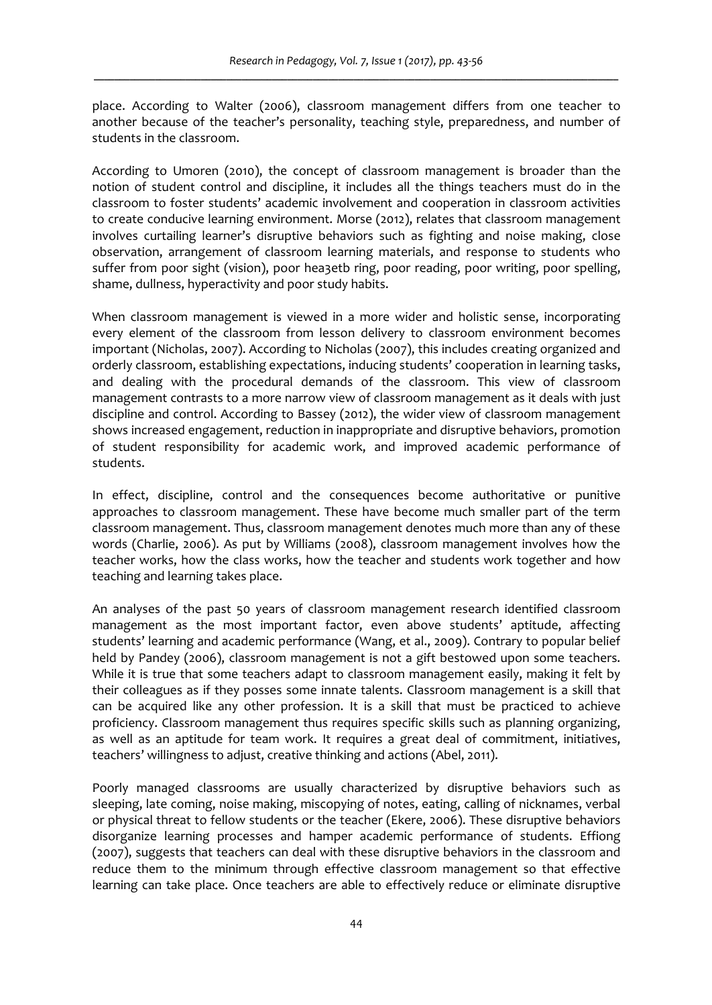place. According to Walter (2006), classroom management differs from one teacher to another because of the teacher's personality, teaching style, preparedness, and number of students in the classroom.

According to Umoren (2010), the concept of classroom management is broader than the notion of student control and discipline, it includes all the things teachers must do in the classroom to foster students' academic involvement and cooperation in classroom activities to create conducive learning environment. Morse (2012), relates that classroom management involves curtailing learner's disruptive behaviors such as fighting and noise making, close observation, arrangement of classroom learning materials, and response to students who suffer from poor sight (vision), poor hea3etb ring, poor reading, poor writing, poor spelling, shame, dullness, hyperactivity and poor study habits.

When classroom management is viewed in a more wider and holistic sense, incorporating every element of the classroom from lesson delivery to classroom environment becomes important (Nicholas, 2007). According to Nicholas (2007), this includes creating organized and orderly classroom, establishing expectations, inducing students' cooperation in learning tasks, and dealing with the procedural demands of the classroom. This view of classroom management contrasts to a more narrow view of classroom management as it deals with just discipline and control. According to Bassey (2012), the wider view of classroom management shows increased engagement, reduction in inappropriate and disruptive behaviors, promotion of student responsibility for academic work, and improved academic performance of students.

In effect, discipline, control and the consequences become authoritative or punitive approaches to classroom management. These have become much smaller part of the term classroom management. Thus, classroom management denotes much more than any of these words (Charlie, 2006). As put by Williams (2008), classroom management involves how the teacher works, how the class works, how the teacher and students work together and how teaching and learning takes place.

An analyses of the past 50 years of classroom management research identified classroom management as the most important factor, even above students' aptitude, affecting students' learning and academic performance (Wang, et al., 2009). Contrary to popular belief held by Pandey (2006), classroom management is not a gift bestowed upon some teachers. While it is true that some teachers adapt to classroom management easily, making it felt by their colleagues as if they posses some innate talents. Classroom management is a skill that can be acquired like any other profession. It is a skill that must be practiced to achieve proficiency. Classroom management thus requires specific skills such as planning organizing, as well as an aptitude for team work. It requires a great deal of commitment, initiatives, teachers' willingness to adjust, creative thinking and actions (Abel, 2011).

Poorly managed classrooms are usually characterized by disruptive behaviors such as sleeping, late coming, noise making, miscopying of notes, eating, calling of nicknames, verbal or physical threat to fellow students or the teacher (Ekere, 2006). These disruptive behaviors disorganize learning processes and hamper academic performance of students. Effiong (2007), suggests that teachers can deal with these disruptive behaviors in the classroom and reduce them to the minimum through effective classroom management so that effective learning can take place. Once teachers are able to effectively reduce or eliminate disruptive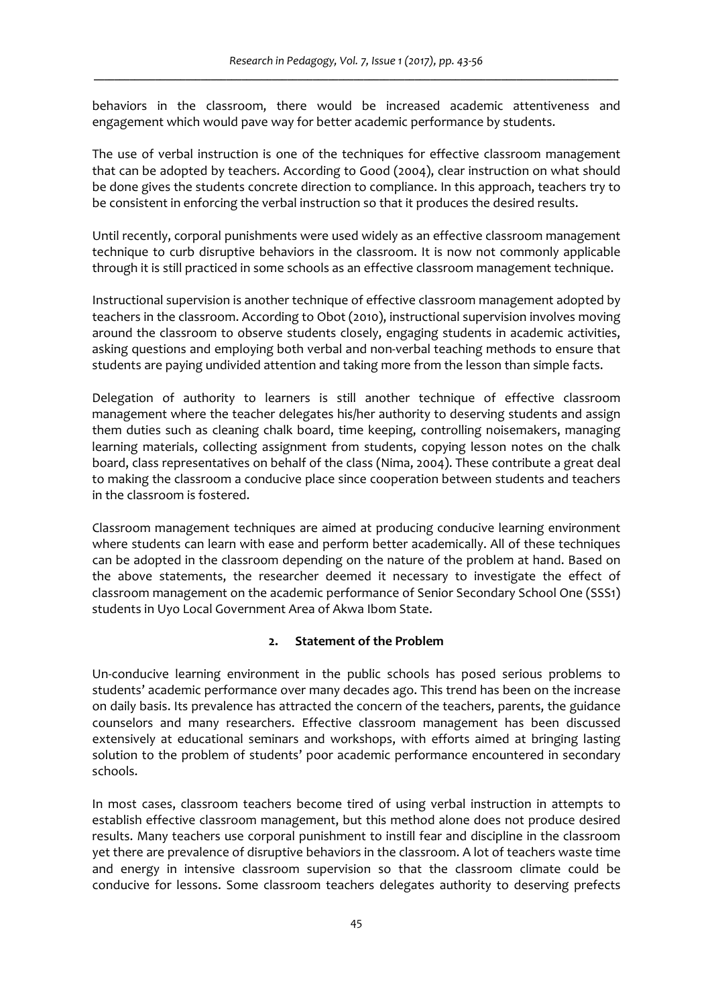behaviors in the classroom, there would be increased academic attentiveness and engagement which would pave way for better academic performance by students.

The use of verbal instruction is one of the techniques for effective classroom management that can be adopted by teachers. According to Good (2004), clear instruction on what should be done gives the students concrete direction to compliance. In this approach, teachers try to be consistent in enforcing the verbal instruction so that it produces the desired results.

Until recently, corporal punishments were used widely as an effective classroom management technique to curb disruptive behaviors in the classroom. It is now not commonly applicable through it is still practiced in some schools as an effective classroom management technique.

Instructional supervision is another technique of effective classroom management adopted by teachers in the classroom. According to Obot (2010), instructional supervision involves moving around the classroom to observe students closely, engaging students in academic activities, asking questions and employing both verbal and non-verbal teaching methods to ensure that students are paying undivided attention and taking more from the lesson than simple facts.

Delegation of authority to learners is still another technique of effective classroom management where the teacher delegates his/her authority to deserving students and assign them duties such as cleaning chalk board, time keeping, controlling noisemakers, managing learning materials, collecting assignment from students, copying lesson notes on the chalk board, class representatives on behalf of the class (Nima, 2004). These contribute a great deal to making the classroom a conducive place since cooperation between students and teachers in the classroom is fostered.

Classroom management techniques are aimed at producing conducive learning environment where students can learn with ease and perform better academically. All of these techniques can be adopted in the classroom depending on the nature of the problem at hand. Based on the above statements, the researcher deemed it necessary to investigate the effect of classroom management on the academic performance of Senior Secondary School One (SSS1) students in Uyo Local Government Area of Akwa Ibom State.

## **2. Statement of the Problem**

Un‐conducive learning environment in the public schools has posed serious problems to students' academic performance over many decades ago. This trend has been on the increase on daily basis. Its prevalence has attracted the concern of the teachers, parents, the guidance counselors and many researchers. Effective classroom management has been discussed extensively at educational seminars and workshops, with efforts aimed at bringing lasting solution to the problem of students' poor academic performance encountered in secondary schools.

In most cases, classroom teachers become tired of using verbal instruction in attempts to establish effective classroom management, but this method alone does not produce desired results. Many teachers use corporal punishment to instill fear and discipline in the classroom yet there are prevalence of disruptive behaviors in the classroom. A lot of teachers waste time and energy in intensive classroom supervision so that the classroom climate could be conducive for lessons. Some classroom teachers delegates authority to deserving prefects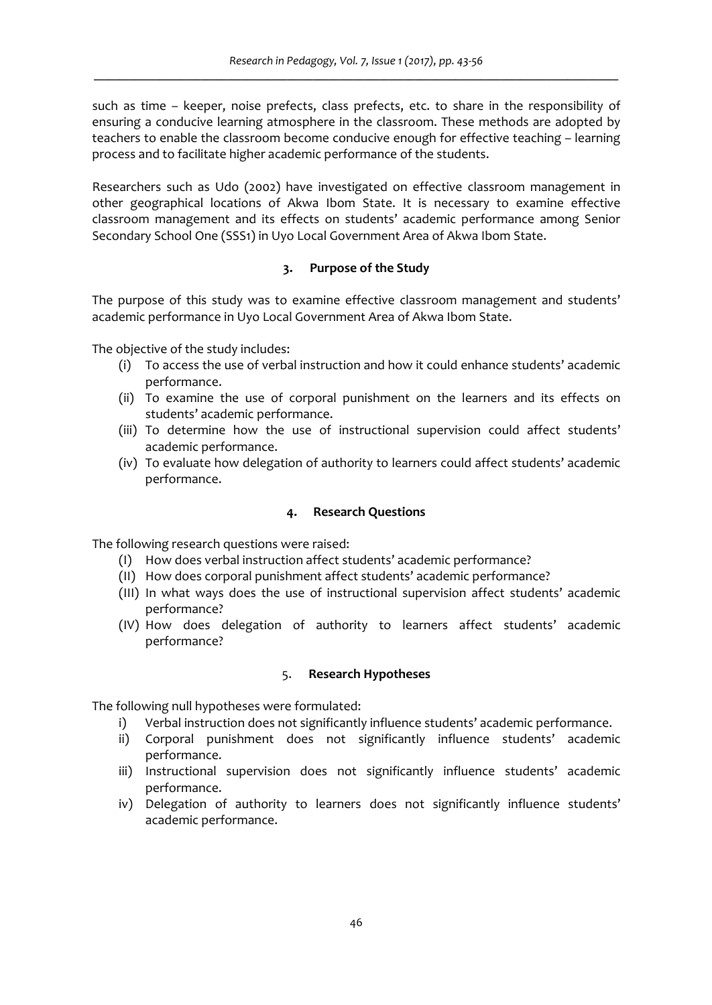such as time – keeper, noise prefects, class prefects, etc. to share in the responsibility of ensuring a conducive learning atmosphere in the classroom. These methods are adopted by teachers to enable the classroom become conducive enough for effective teaching – learning process and to facilitate higher academic performance of the students.

Researchers such as Udo (2002) have investigated on effective classroom management in other geographical locations of Akwa Ibom State. It is necessary to examine effective classroom management and its effects on students' academic performance among Senior Secondary School One (SSS1) in Uyo Local Government Area of Akwa Ibom State.

## **3. Purpose of the Study**

The purpose of this study was to examine effective classroom management and students' academic performance in Uyo Local Government Area of Akwa Ibom State.

The objective of the study includes:

- (i) To access the use of verbal instruction and how it could enhance students' academic performance.
- (ii) To examine the use of corporal punishment on the learners and its effects on students' academic performance.
- (iii) To determine how the use of instructional supervision could affect students' academic performance.
- (iv) To evaluate how delegation of authority to learners could affect students' academic performance.

### **4. Research Questions**

The following research questions were raised:

- (I) How does verbal instruction affect students' academic performance?
- (II) How does corporal punishment affect students' academic performance?
- (III) In what ways does the use of instructional supervision affect students' academic performance?
- (IV) How does delegation of authority to learners affect students' academic performance?

### 5. **Research Hypotheses**

The following null hypotheses were formulated:

- i) Verbal instruction does not significantly influence students' academic performance.
- ii) Corporal punishment does not significantly influence students' academic performance.
- iii) Instructional supervision does not significantly influence students' academic performance.
- iv) Delegation of authority to learners does not significantly influence students' academic performance.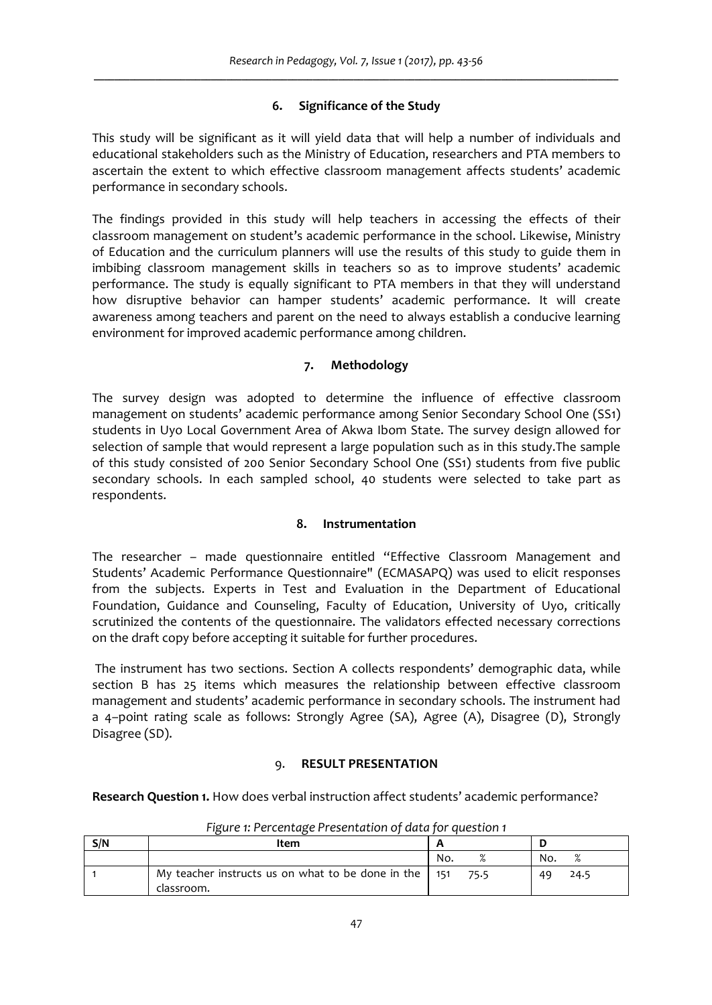# **6. Significance of the Study**

This study will be significant as it will yield data that will help a number of individuals and educational stakeholders such as the Ministry of Education, researchers and PTA members to ascertain the extent to which effective classroom management affects students' academic performance in secondary schools.

The findings provided in this study will help teachers in accessing the effects of their classroom management on student's academic performance in the school. Likewise, Ministry of Education and the curriculum planners will use the results of this study to guide them in imbibing classroom management skills in teachers so as to improve students' academic performance. The study is equally significant to PTA members in that they will understand how disruptive behavior can hamper students' academic performance. It will create awareness among teachers and parent on the need to always establish a conducive learning environment for improved academic performance among children.

# **7. Methodology**

The survey design was adopted to determine the influence of effective classroom management on students' academic performance among Senior Secondary School One (SS1) students in Uyo Local Government Area of Akwa Ibom State. The survey design allowed for selection of sample that would represent a large population such as in this study.The sample of this study consisted of 200 Senior Secondary School One (SS1) students from five public secondary schools. In each sampled school, 40 students were selected to take part as respondents.

## **8. Instrumentation**

The researcher – made questionnaire entitled "Effective Classroom Management and Students' Academic Performance Questionnaire" (ECMASAPQ) was used to elicit responses from the subjects. Experts in Test and Evaluation in the Department of Educational Foundation, Guidance and Counseling, Faculty of Education, University of Uyo, critically scrutinized the contents of the questionnaire. The validators effected necessary corrections on the draft copy before accepting it suitable for further procedures.

The instrument has two sections. Section A collects respondents' demographic data, while section B has 25 items which measures the relationship between effective classroom management and students' academic performance in secondary schools. The instrument had a 4–point rating scale as follows: Strongly Agree (SA), Agree (A), Disagree (D), Strongly Disagree (SD).

## 9. **RESULT PRESENTATION**

**Research Question 1.** How does verbal instruction affect students' academic performance?

| S/N | ltem                                                                        |      |                 |
|-----|-----------------------------------------------------------------------------|------|-----------------|
|     |                                                                             | No.  | O/<br>No.<br>70 |
|     | My teacher instructs us on what to be done in the $\vert$ 151<br>classroom. | 75.5 | 24.5<br>49      |

*Figure 1: Percentage Presentation of data for question 1*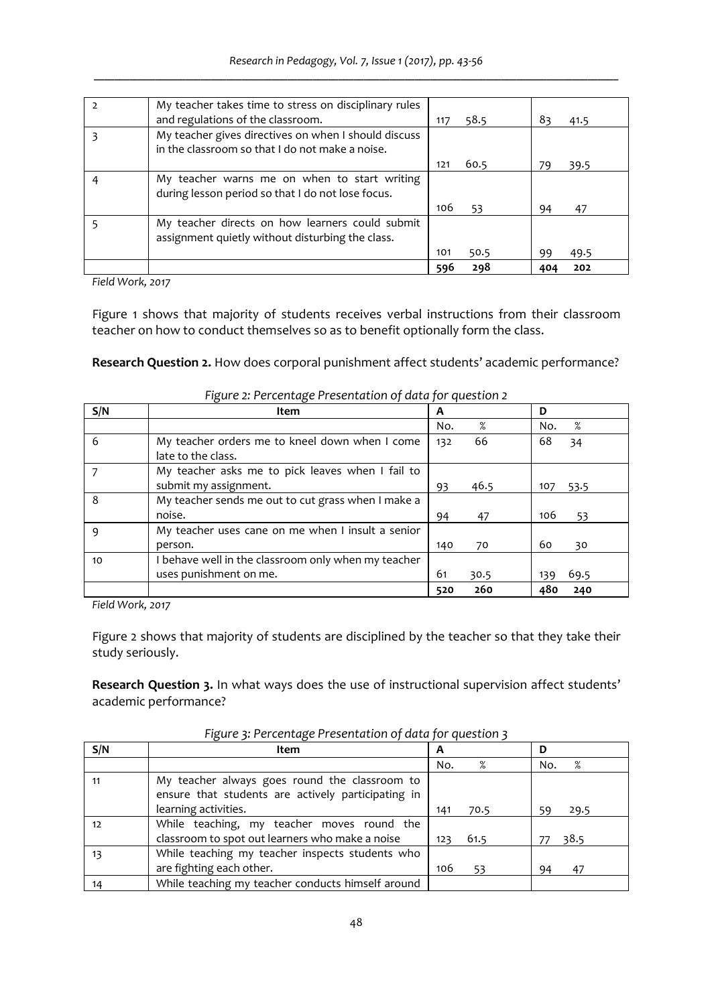| My teacher takes time to stress on disciplinary rules<br>and regulations of the classroom.              | 117 | 58.5 | 83  | 41.5 |
|---------------------------------------------------------------------------------------------------------|-----|------|-----|------|
| My teacher gives directives on when I should discuss<br>in the classroom so that I do not make a noise. |     |      |     |      |
|                                                                                                         | 121 | 60.5 | 79  | 39.5 |
| My teacher warns me on when to start writing<br>during lesson period so that I do not lose focus.       |     |      |     |      |
|                                                                                                         | 106 | 53   | 94  | 47   |
| My teacher directs on how learners could submit<br>assignment quietly without disturbing the class.     |     |      |     |      |
|                                                                                                         | 101 | 50.5 | 99  | 49.5 |
|                                                                                                         | 596 | 298  | 404 | 202  |

*Field Work, 2017* 

Figure 1 shows that majority of students receives verbal instructions from their classroom teacher on how to conduct themselves so as to benefit optionally form the class.

**Research Question 2.** How does corporal punishment affect students' academic performance?

| S/N | Item                                                                 | A   |      | D   |      |
|-----|----------------------------------------------------------------------|-----|------|-----|------|
|     |                                                                      | No. | %    | No. | %    |
| 6   | My teacher orders me to kneel down when I come<br>late to the class. | 132 | 66   | 68  | 34   |
|     | My teacher asks me to pick leaves when I fail to                     |     |      |     |      |
|     | submit my assignment.                                                | 93  | 46.5 | 107 | 53.5 |
| 8   | My teacher sends me out to cut grass when I make a                   |     |      |     |      |
|     | noise.                                                               | 94  | 47   | 106 | 53   |
| q   | My teacher uses cane on me when I insult a senior                    |     |      |     |      |
|     | person.                                                              | 140 | 70   | 60  | 30   |
| 10  | behave well in the classroom only when my teacher                    |     |      |     |      |
|     | uses punishment on me.                                               | 61  | 30.5 | 139 | 69.5 |
|     |                                                                      | 520 | 260  | 480 | 240  |

*Figure 2: Percentage Presentation of data for question 2*

*Field Work, 2017*

Figure 2 shows that majority of students are disciplined by the teacher so that they take their study seriously.

**Research Question 3.** In what ways does the use of instructional supervision affect students' academic performance?

| S/N | Item                                                                                                | A           | D        |
|-----|-----------------------------------------------------------------------------------------------------|-------------|----------|
|     |                                                                                                     | %<br>No.    | %<br>No. |
| 11  | My teacher always goes round the classroom to<br>ensure that students are actively participating in |             |          |
|     | learning activities.                                                                                | 70.5<br>141 | 29.5     |
| 12  | While teaching, my teacher moves round the<br>classroom to spot out learners who make a noise       | 61.5<br>123 | 38.5     |
| 13  | While teaching my teacher inspects students who<br>are fighting each other.                         | 106<br>53   | 47<br>94 |
| 14  | While teaching my teacher conducts himself around                                                   |             |          |

*Figure 3: Percentage Presentation of data for question 3*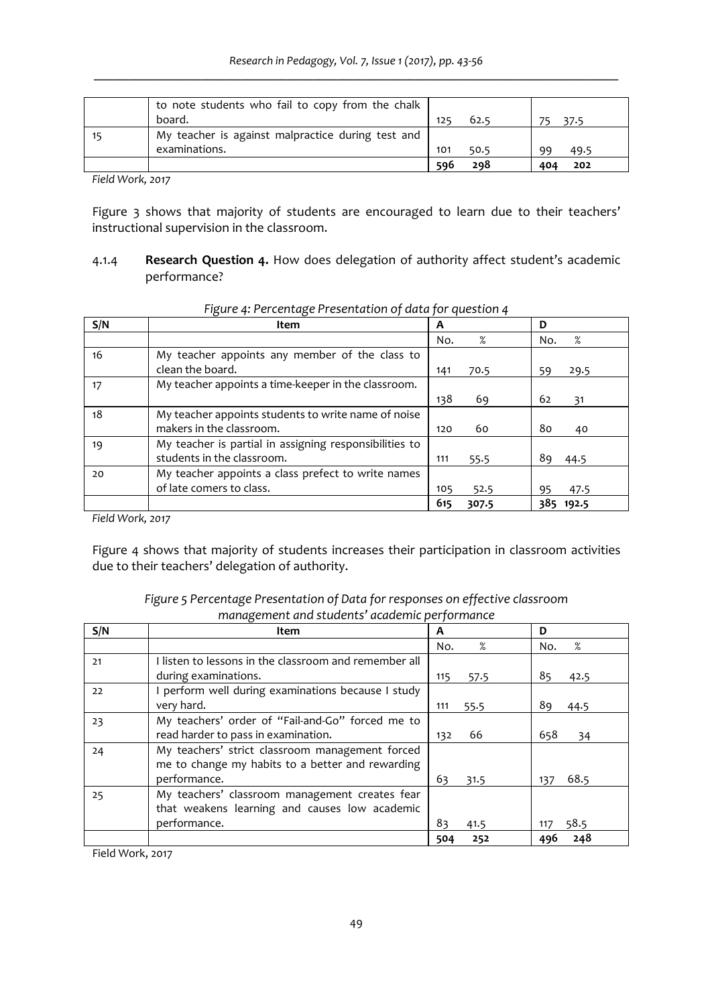| to note students who fail to copy from the chalk  |     |      |    |      |
|---------------------------------------------------|-----|------|----|------|
| board.                                            | 125 | 62.5 |    | 37.5 |
| My teacher is against malpractice during test and |     |      |    |      |
| examinations.                                     | 101 | 50.5 | ٩q | 49.5 |
|                                                   | 596 | 298  |    | 202  |

*Field Work, 2017*

Figure 3 shows that majority of students are encouraged to learn due to their teachers' instructional supervision in the classroom.

4.1.4 **Research Question 4.** How does delegation of authority affect student's academic performance?

| S/N | Item                                                   | A   |       | D            |
|-----|--------------------------------------------------------|-----|-------|--------------|
|     |                                                        | No. | %     | %<br>No.     |
| 16  | My teacher appoints any member of the class to         |     |       |              |
|     | clean the board.                                       | 141 | 70.5  | 29.5<br>59   |
| 17  | My teacher appoints a time-keeper in the classroom.    |     |       |              |
|     |                                                        | 138 | 69    | 62<br>31     |
| 18  | My teacher appoints students to write name of noise    |     |       |              |
|     | makers in the classroom.                               | 120 | 60    | 80<br>40     |
| 19  | My teacher is partial in assigning responsibilities to |     |       |              |
|     | students in the classroom.                             | 111 | 55.5  | 89<br>-44.5  |
| 20  | My teacher appoints a class prefect to write names     |     |       |              |
|     | of late comers to class.                               | 105 | 52.5  | 47.5<br>95   |
|     |                                                        | 615 | 307.5 | 385<br>192.5 |

*Figure 4: Percentage Presentation of data for question 4*

*Field Work, 2017*

Figure 4 shows that majority of students increases their participation in classroom activities due to their teachers' delegation of authority.

| Figure 5 Percentage Presentation of Data for responses on effective classroom |
|-------------------------------------------------------------------------------|
| management and students' academic performance                                 |

| S/N | Item                                                  | A           | D           |
|-----|-------------------------------------------------------|-------------|-------------|
|     |                                                       | %<br>No.    | %<br>No.    |
| 21  | I listen to lessons in the classroom and remember all |             |             |
|     | during examinations.                                  | 115<br>57.5 | 85<br>42.5  |
| 22  | I perform well during examinations because I study    |             |             |
|     | very hard.                                            | 111<br>55.5 | 89<br>44.5  |
| 23  | My teachers' order of "Fail-and-Go" forced me to      |             |             |
|     | read harder to pass in examination.                   | 66<br>132   | 658<br>34   |
| 24  | My teachers' strict classroom management forced       |             |             |
|     | me to change my habits to a better and rewarding      |             |             |
|     | performance.                                          | 63<br>31.5  | 68.5<br>137 |
| 25  | My teachers' classroom management creates fear        |             |             |
|     | that weakens learning and causes low academic         |             |             |
|     | performance.                                          | 83<br>41.5  | 58.5<br>117 |
|     |                                                       | 252<br>504  | 248<br>496  |

Field Work, 2017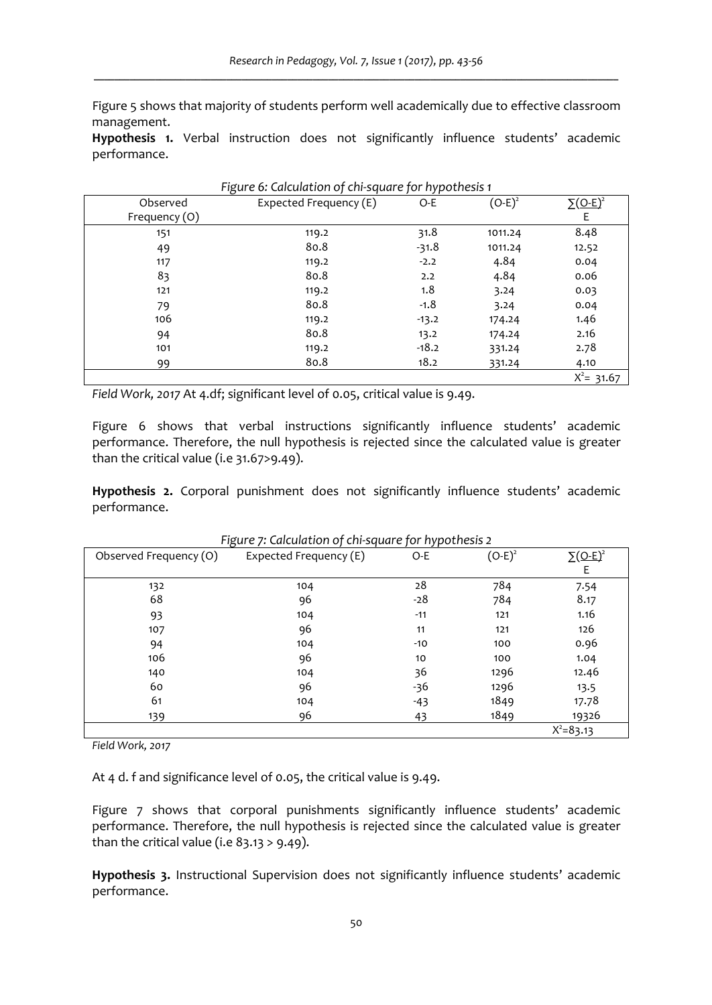Figure 5 shows that majority of students perform well academically due to effective classroom management.

**Hypothesis 1.** Verbal instruction does not significantly influence students' academic performance.

| Figure 6: Calculation of chi-square for hypothesis 1 |                        |         |           |                             |  |  |
|------------------------------------------------------|------------------------|---------|-----------|-----------------------------|--|--|
| Observed                                             | Expected Frequency (E) | $O-E$   | $(O-E)^2$ | $\Sigma$ (O-E) <sup>2</sup> |  |  |
| Frequency (O)                                        |                        |         |           | Ε                           |  |  |
| 151                                                  | 119.2                  | 31.8    | 1011.24   | 8.48                        |  |  |
| 49                                                   | 80.8                   | $-31.8$ | 1011.24   | 12.52                       |  |  |
| 117                                                  | 119.2                  | $-2.2$  | 4.84      | 0.04                        |  |  |
| 83                                                   | 80.8                   | 2.2     | 4.84      | 0.06                        |  |  |
| 121                                                  | 119.2                  | 1.8     | 3.24      | 0.03                        |  |  |
| 79                                                   | 80.8                   | $-1.8$  | 3.24      | 0.04                        |  |  |
| 106                                                  | 119.2                  | $-13.2$ | 174.24    | 1.46                        |  |  |
| 94                                                   | 80.8                   | 13.2    | 174.24    | 2.16                        |  |  |
| 101                                                  | 119.2                  | $-18.2$ | 331.24    | 2.78                        |  |  |
| 99                                                   | 80.8                   | 18.2    | 331.24    | 4.10                        |  |  |
|                                                      |                        |         |           | $X^2 = 31.67$               |  |  |

*Field Work, 2017* At 4.df; significant level of 0.05, critical value is 9.49.

Figure 6 shows that verbal instructions significantly influence students' academic performance. Therefore, the null hypothesis is rejected since the calculated value is greater than the critical value (i.e 31.67>9.49).

**Hypothesis 2.** Corporal punishment does not significantly influence students' academic performance.

| Observed Frequency (O) | Expected Frequency (E) | $O-E$ | $(O-E)^2$ | $\Sigma$ (O-E) <sup>2</sup> |
|------------------------|------------------------|-------|-----------|-----------------------------|
|                        |                        |       |           | E                           |
| 132                    | 104                    | 28    | 784       | 7.54                        |
| 68                     | 96                     | $-28$ | 784       | 8.17                        |
| 93                     | 104                    | $-11$ | 121       | 1.16                        |
| 107                    | 96                     | 11    | 121       | 126                         |
| 94                     | 104                    | $-10$ | 100       | 0.96                        |
| 106                    | 96                     | 10    | 100       | 1.04                        |
| 140                    | 104                    | 36    | 1296      | 12.46                       |
| 60                     | 96                     | -36   | 1296      | 13.5                        |
| 61                     | 104                    | $-43$ | 1849      | 17.78                       |
| 139                    | 96                     | 43    | 1849      | 19326                       |
|                        |                        |       |           | $X^2 = 83.13$               |

*Figure 7: Calculation of chi‐square for hypothesis 2*

*Field Work, 2017*

At 4 d. f and significance level of 0.05, the critical value is 9.49.

Figure 7 shows that corporal punishments significantly influence students' academic performance. Therefore, the null hypothesis is rejected since the calculated value is greater than the critical value (i.e  $83.13 > 9.49$ ).

**Hypothesis 3.** Instructional Supervision does not significantly influence students' academic performance.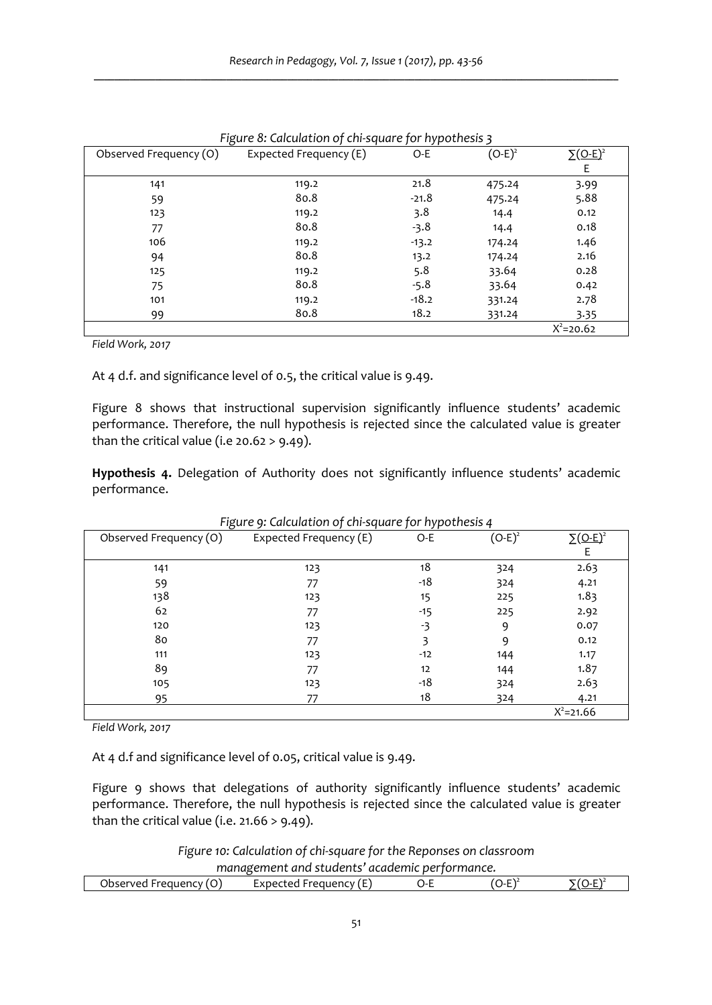|                        | ັ                      | . .     |           |                             |
|------------------------|------------------------|---------|-----------|-----------------------------|
| Observed Frequency (O) | Expected Frequency (E) | O-E     | $(O-E)^2$ | $\Sigma$ (O-E) <sup>2</sup> |
|                        |                        |         |           | Ε                           |
| 141                    | 119.2                  | 21.8    | 475.24    | 3.99                        |
| 59                     | 80.8                   | $-21.8$ | 475.24    | 5.88                        |
| 123                    | 119.2                  | 3.8     | 14.4      | 0.12                        |
| 77                     | 80.8                   | -3.8    | 14.4      | 0.18                        |
| 106                    | 119.2                  | $-13.2$ | 174.24    | 1.46                        |
| 94                     | 80.8                   | 13.2    | 174.24    | 2.16                        |
| 125                    | 119.2                  | 5.8     | 33.64     | 0.28                        |
| 75                     | 80.8                   | $-5.8$  | 33.64     | 0.42                        |
| 101                    | 119.2                  | $-18.2$ | 331.24    | 2.78                        |
| 99                     | 80.8                   | 18.2    | 331.24    | 3.35                        |
|                        |                        |         |           | $X^2 = 20.62$               |

*Figure 8: Calculation of chi‐square for hypothesis 3*

*Field Work, 2017*

At 4 d.f. and significance level of 0.5, the critical value is 9.49.

Figure 8 shows that instructional supervision significantly influence students' academic performance. Therefore, the null hypothesis is rejected since the calculated value is greater than the critical value (i.e  $20.62 > 9.49$ ).

**Hypothesis 4.** Delegation of Authority does not significantly influence students' academic performance.

| Observed Frequency (O) | Expected Frequency (E) | $O-E$ | $(O-E)^2$ | $\Sigma$ (O-E) <sup>2</sup> |
|------------------------|------------------------|-------|-----------|-----------------------------|
|                        |                        |       |           |                             |
| 141                    | 123                    | 18    | 324       | 2.63                        |
| 59                     | 77                     | $-18$ | 324       | 4.21                        |
| 138                    | 123                    | 15    | 225       | 1.83                        |
| 62                     | 77                     | $-15$ | 225       | 2.92                        |
| 120                    | 123                    | -3    | 9         | 0.07                        |
| 80                     | 77                     | 3     | 9         | 0.12                        |
| 111                    | 123                    | $-12$ | 144       | 1.17                        |
| 89                     | 77                     | 12    | 144       | 1.87                        |
| 105                    | 123                    | $-18$ | 324       | 2.63                        |
| 95                     | 77                     | 18    | 324       | 4.21                        |
|                        |                        |       |           | $X^2 = 21.66$               |

*Figure 9: Calculation of chi‐square for hypothesis 4*

*Field Work, 2017*

At 4 d.f and significance level of 0.05, critical value is 9.49.

Figure 9 shows that delegations of authority significantly influence students' academic performance. Therefore, the null hypothesis is rejected since the calculated value is greater than the critical value (i.e.  $21.66 > 9.49$ ).

*Figure 10: Calculation of chi‐square for the Reponses on classroom management and students' academic performance.*

| .                           |                              | .         |   |
|-----------------------------|------------------------------|-----------|---|
| <b>requency</b><br>)bserved | -reguency<br>cxpected<br>. . | <br><br>- | . |
|                             |                              |           |   |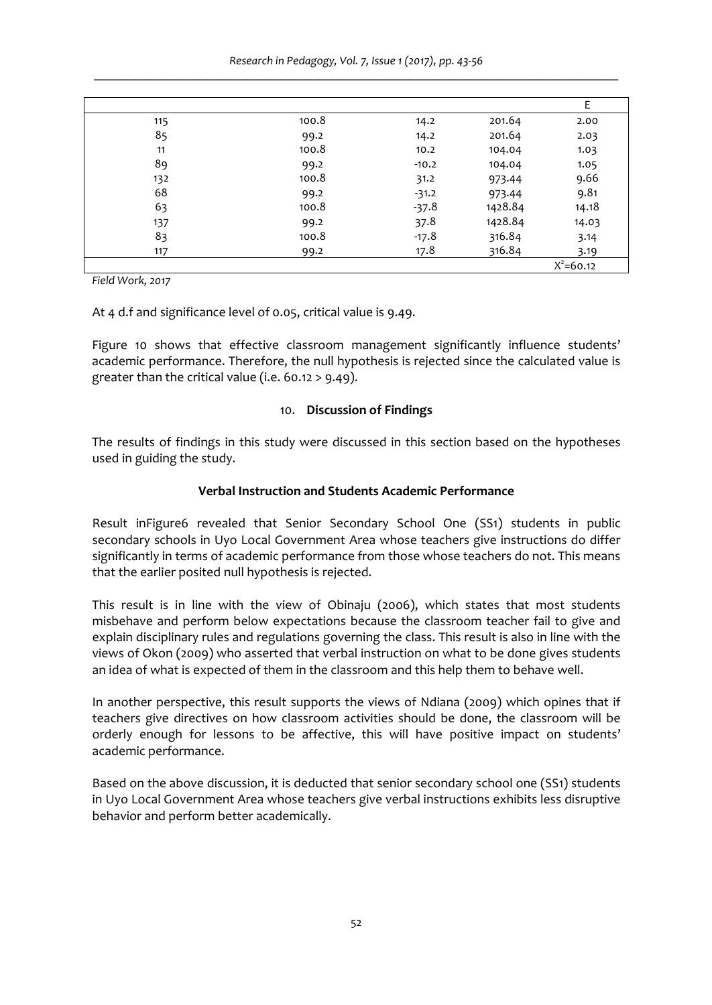*Research in Pedagogy, Vol. 7, Issue 1 (2017), pp. 43‐56 \_\_\_\_\_\_\_\_\_\_\_\_\_\_\_\_\_\_\_\_\_\_\_\_\_\_\_\_\_\_\_\_\_\_\_\_\_\_\_\_\_\_\_\_\_\_\_\_\_\_\_\_\_\_\_\_\_\_\_\_\_\_\_\_\_\_\_\_\_\_\_\_\_\_\_\_\_\_\_\_\_\_\_\_\_\_\_\_\_\_\_\_\_\_\_\_\_\_\_\_\_\_\_*

|     |       |         |         | Ε             |
|-----|-------|---------|---------|---------------|
| 115 | 100.8 | 14.2    | 201.64  | 2.00          |
| 85  | 99.2  | 14.2    | 201.64  | 2.03          |
| 11  | 100.8 | 10.2    | 104.04  | 1.03          |
| 89  | 99.2  | $-10.2$ | 104.04  | 1.05          |
| 132 | 100.8 | 31.2    | 973.44  | 9.66          |
| 68  | 99.2  | $-31.2$ | 973.44  | 9.81          |
| 63  | 100.8 | $-37.8$ | 1428.84 | 14.18         |
| 137 | 99.2  | 37.8    | 1428.84 | 14.03         |
| 83  | 100.8 | $-17.8$ | 316.84  | 3.14          |
| 117 | 99.2  | 17.8    | 316.84  | 3.19          |
|     |       |         |         | $X^2 = 60.12$ |

*Field Work, 2017*

At 4 d.f and significance level of 0.05, critical value is 9.49.

Figure 10 shows that effective classroom management significantly influence students' academic performance. Therefore, the null hypothesis is rejected since the calculated value is greater than the critical value (i.e. 60.12 > 9.49).

### 10. **Discussion of Findings**

The results of findings in this study were discussed in this section based on the hypotheses used in guiding the study.

## **Verbal Instruction and Students Academic Performance**

Result inFigure6 revealed that Senior Secondary School One (SS1) students in public secondary schools in Uyo Local Government Area whose teachers give instructions do differ significantly in terms of academic performance from those whose teachers do not. This means that the earlier posited null hypothesis is rejected.

This result is in line with the view of Obinaju (2006), which states that most students misbehave and perform below expectations because the classroom teacher fail to give and explain disciplinary rules and regulations governing the class. This result is also in line with the views of Okon (2009) who asserted that verbal instruction on what to be done gives students an idea of what is expected of them in the classroom and this help them to behave well.

In another perspective, this result supports the views of Ndiana (2009) which opines that if teachers give directives on how classroom activities should be done, the classroom will be orderly enough for lessons to be affective, this will have positive impact on students' academic performance.

Based on the above discussion, it is deducted that senior secondary school one (SS1) students in Uyo Local Government Area whose teachers give verbal instructions exhibits less disruptive behavior and perform better academically.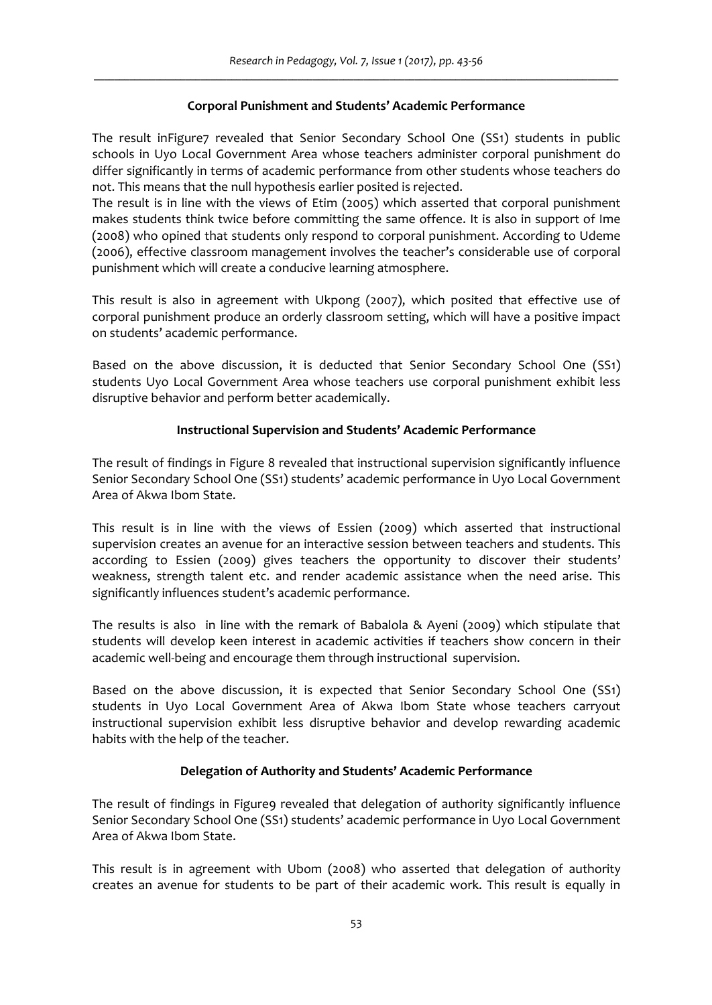# **Corporal Punishment and Students' Academic Performance**

The result inFigure7 revealed that Senior Secondary School One (SS1) students in public schools in Uyo Local Government Area whose teachers administer corporal punishment do differ significantly in terms of academic performance from other students whose teachers do not. This means that the null hypothesis earlier posited is rejected.

The result is in line with the views of Etim (2005) which asserted that corporal punishment makes students think twice before committing the same offence. It is also in support of Ime (2008) who opined that students only respond to corporal punishment. According to Udeme (2006), effective classroom management involves the teacher's considerable use of corporal punishment which will create a conducive learning atmosphere.

This result is also in agreement with Ukpong (2007), which posited that effective use of corporal punishment produce an orderly classroom setting, which will have a positive impact on students' academic performance.

Based on the above discussion, it is deducted that Senior Secondary School One (SS1) students Uyo Local Government Area whose teachers use corporal punishment exhibit less disruptive behavior and perform better academically.

# **Instructional Supervision and Students' Academic Performance**

The result of findings in Figure 8 revealed that instructional supervision significantly influence Senior Secondary School One (SS1) students' academic performance in Uyo Local Government Area of Akwa Ibom State.

This result is in line with the views of Essien (2009) which asserted that instructional supervision creates an avenue for an interactive session between teachers and students. This according to Essien (2009) gives teachers the opportunity to discover their students' weakness, strength talent etc. and render academic assistance when the need arise. This significantly influences student's academic performance.

The results is also in line with the remark of Babalola & Ayeni (2009) which stipulate that students will develop keen interest in academic activities if teachers show concern in their academic well‐being and encourage them through instructional supervision.

Based on the above discussion, it is expected that Senior Secondary School One (SS1) students in Uyo Local Government Area of Akwa Ibom State whose teachers carryout instructional supervision exhibit less disruptive behavior and develop rewarding academic habits with the help of the teacher.

# **Delegation of Authority and Students' Academic Performance**

The result of findings in Figure9 revealed that delegation of authority significantly influence Senior Secondary School One (SS1) students' academic performance in Uyo Local Government Area of Akwa Ibom State.

This result is in agreement with Ubom (2008) who asserted that delegation of authority creates an avenue for students to be part of their academic work. This result is equally in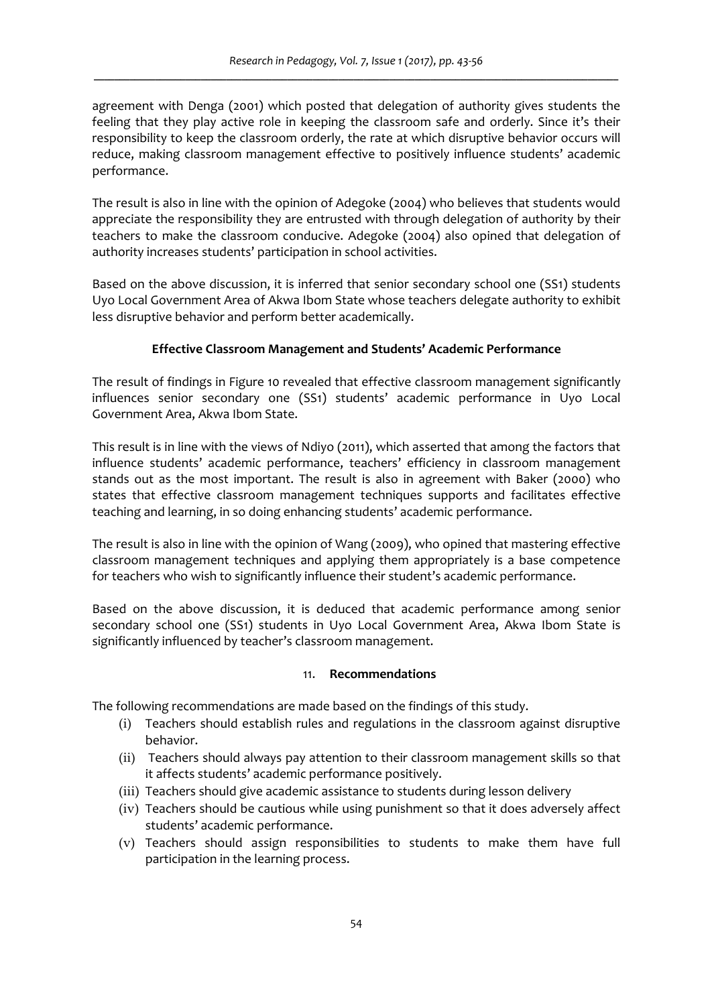agreement with Denga (2001) which posted that delegation of authority gives students the feeling that they play active role in keeping the classroom safe and orderly. Since it's their responsibility to keep the classroom orderly, the rate at which disruptive behavior occurs will reduce, making classroom management effective to positively influence students' academic performance.

The result is also in line with the opinion of Adegoke (2004) who believes that students would appreciate the responsibility they are entrusted with through delegation of authority by their teachers to make the classroom conducive. Adegoke (2004) also opined that delegation of authority increases students' participation in school activities.

Based on the above discussion, it is inferred that senior secondary school one (SS1) students Uyo Local Government Area of Akwa Ibom State whose teachers delegate authority to exhibit less disruptive behavior and perform better academically.

## **Effective Classroom Management and Students' Academic Performance**

The result of findings in Figure 10 revealed that effective classroom management significantly influences senior secondary one (SS1) students' academic performance in Uyo Local Government Area, Akwa Ibom State.

This result is in line with the views of Ndiyo (2011), which asserted that among the factors that influence students' academic performance, teachers' efficiency in classroom management stands out as the most important. The result is also in agreement with Baker (2000) who states that effective classroom management techniques supports and facilitates effective teaching and learning, in so doing enhancing students' academic performance.

The result is also in line with the opinion of Wang (2009), who opined that mastering effective classroom management techniques and applying them appropriately is a base competence for teachers who wish to significantly influence their student's academic performance.

Based on the above discussion, it is deduced that academic performance among senior secondary school one (SS1) students in Uyo Local Government Area, Akwa Ibom State is significantly influenced by teacher's classroom management.

### 11. **Recommendations**

The following recommendations are made based on the findings of this study.

- (i) Teachers should establish rules and regulations in the classroom against disruptive behavior.
- (ii) Teachers should always pay attention to their classroom management skills so that it affects students' academic performance positively.
- (iii) Teachers should give academic assistance to students during lesson delivery
- (iv) Teachers should be cautious while using punishment so that it does adversely affect students' academic performance.
- (v) Teachers should assign responsibilities to students to make them have full participation in the learning process.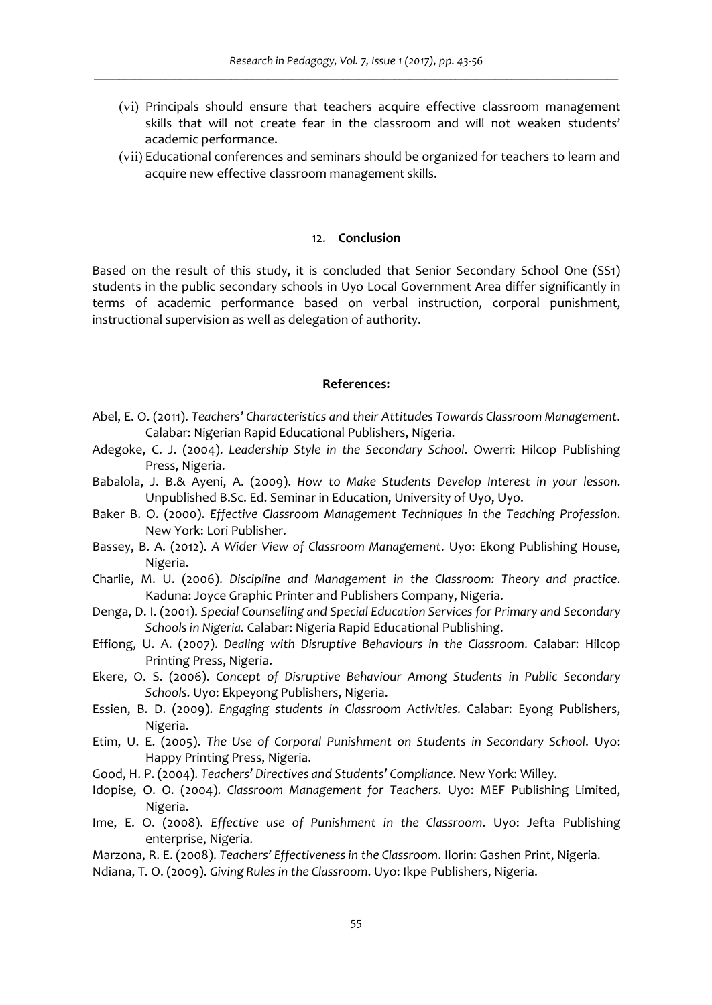- (vi) Principals should ensure that teachers acquire effective classroom management skills that will not create fear in the classroom and will not weaken students' academic performance.
- (vii) Educational conferences and seminars should be organized for teachers to learn and acquire new effective classroom management skills.

#### 12. **Conclusion**

Based on the result of this study, it is concluded that Senior Secondary School One (SS1) students in the public secondary schools in Uyo Local Government Area differ significantly in terms of academic performance based on verbal instruction, corporal punishment, instructional supervision as well as delegation of authority.

### **References:**

- Abel, E. O. (2011). *Teachers' Characteristics and their Attitudes Towards Classroom Management*. Calabar: Nigerian Rapid Educational Publishers, Nigeria.
- Adegoke, C. J. (2004). *Leadership Style in the Secondary School*. Owerri: Hilcop Publishing Press, Nigeria.
- Babalola, J. B.& Ayeni, A. (2009). *How to Make Students Develop Interest in your lesson*. Unpublished B.Sc. Ed. Seminar in Education, University of Uyo, Uyo.
- Baker B. O. (2000). *Effective Classroom Management Techniques in the Teaching Profession*. New York: Lori Publisher.
- Bassey, B. A. (2012). *A Wider View of Classroom Management*. Uyo: Ekong Publishing House, Nigeria.
- Charlie, M. U. (2006). *Discipline and Management in the Classroom: Theory and practice*. Kaduna: Joyce Graphic Printer and Publishers Company, Nigeria.
- Denga, D. I. (2001). *Special Counselling and Special Education Services for Primary and Secondary Schools in Nigeria.* Calabar: Nigeria Rapid Educational Publishing.
- Effiong, U. A. (2007). *Dealing with Disruptive Behaviours in the Classroom*. Calabar: Hilcop Printing Press, Nigeria.
- Ekere, O. S. (2006). *Concept of Disruptive Behaviour Among Students in Public Secondary Schools*. Uyo: Ekpeyong Publishers, Nigeria.
- Essien, B. D. (2009). *Engaging students in Classroom Activities*. Calabar: Eyong Publishers, Nigeria.
- Etim, U. E. (2005). *The Use of Corporal Punishment on Students in Secondary School*. Uyo: Happy Printing Press, Nigeria.
- Good, H. P. (2004). *Teachers' Directives and Students' Compliance*. New York: Willey.
- Idopise, O. O. (2004). *Classroom Management for Teachers*. Uyo: MEF Publishing Limited, Nigeria.
- Ime, E. O. (2008). *Effective use of Punishment in the Classroom*. Uyo: Jefta Publishing enterprise, Nigeria.
- Marzona, R. E. (2008). *Teachers' Effectiveness in the Classroom*. Ilorin: Gashen Print, Nigeria.
- Ndiana, T. O. (2009). *Giving Rules in the Classroom*. Uyo: Ikpe Publishers, Nigeria.